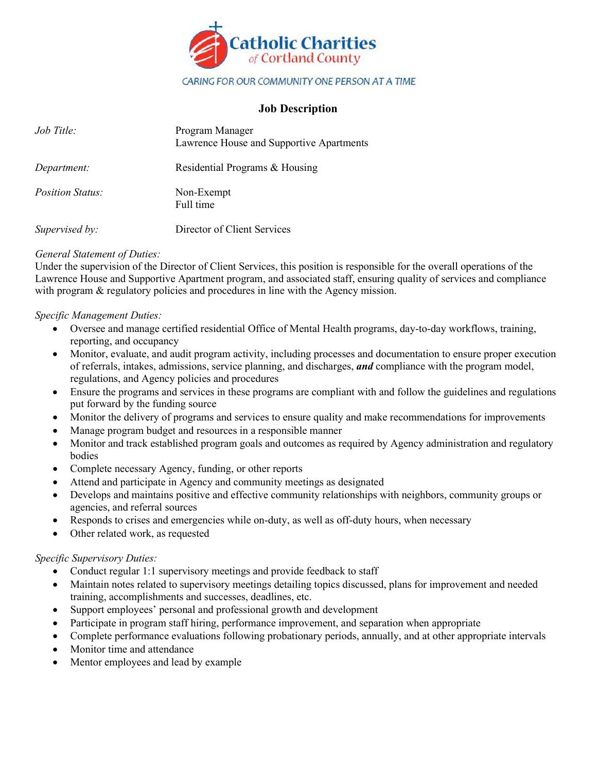

# **Job Description**

| Job Title:              | Program Manager<br>Lawrence House and Supportive Apartments |
|-------------------------|-------------------------------------------------------------|
| Department:             | Residential Programs & Housing                              |
| <i>Position Status:</i> | Non-Exempt<br>Full time                                     |
| Supervised by:          | Director of Client Services                                 |

## *General Statement of Duties:*

Under the supervision of the Director of Client Services, this position is responsible for the overall operations of the Lawrence House and Supportive Apartment program, and associated staff, ensuring quality of services and compliance with program & regulatory policies and procedures in line with the Agency mission.

## *Specific Management Duties:*

- Oversee and manage certified residential Office of Mental Health programs, day-to-day workflows, training, reporting, and occupancy
- Monitor, evaluate, and audit program activity, including processes and documentation to ensure proper execution of referrals, intakes, admissions, service planning, and discharges, *and* compliance with the program model, regulations, and Agency policies and procedures
- Ensure the programs and services in these programs are compliant with and follow the guidelines and regulations put forward by the funding source
- Monitor the delivery of programs and services to ensure quality and make recommendations for improvements
- Manage program budget and resources in a responsible manner
- Monitor and track established program goals and outcomes as required by Agency administration and regulatory bodies
- Complete necessary Agency, funding, or other reports
- Attend and participate in Agency and community meetings as designated
- Develops and maintains positive and effective community relationships with neighbors, community groups or agencies, and referral sources
- Responds to crises and emergencies while on-duty, as well as off-duty hours, when necessary
- Other related work, as requested

#### *Specific Supervisory Duties:*

- Conduct regular 1:1 supervisory meetings and provide feedback to staff
- Maintain notes related to supervisory meetings detailing topics discussed, plans for improvement and needed training, accomplishments and successes, deadlines, etc.
- Support employees' personal and professional growth and development
- Participate in program staff hiring, performance improvement, and separation when appropriate
- Complete performance evaluations following probationary periods, annually, and at other appropriate intervals
- Monitor time and attendance
- Mentor employees and lead by example